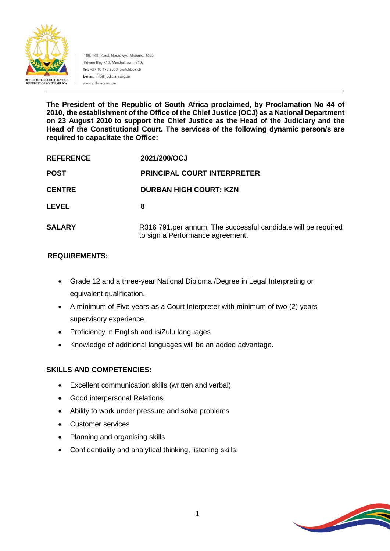

188, 14th Road, Noordwyk, Midrand, 1685 Private Bag X10, Marshalltown, 2107 Tel: +27 10 493 2500 (Switchboard) E-mail: info@ judiciary.org.za www.judiciary.org.za

**The President of the Republic of South Africa proclaimed, by Proclamation No 44 of 2010, the establishment of the Office of the Chief Justice (OCJ) as a National Department on 23 August 2010 to support the Chief Justice as the Head of the Judiciary and the Head of the Constitutional Court. The services of the following dynamic person/s are required to capacitate the Office:**

| <b>REFERENCE</b><br><b>POST</b><br><b>CENTRE</b> | 2021/200/OCJ<br><b>PRINCIPAL COURT INTERPRETER</b><br><b>DURBAN HIGH COURT: KZN</b> |               |                                                                                                   |
|--------------------------------------------------|-------------------------------------------------------------------------------------|---------------|---------------------------------------------------------------------------------------------------|
|                                                  |                                                                                     | <b>LEVEL</b>  | 8                                                                                                 |
|                                                  |                                                                                     | <b>SALARY</b> | R316 791.per annum. The successful candidate will be required<br>to sign a Performance agreement. |

#### **REQUIREMENTS:**

- Grade 12 and a three-year National Diploma /Degree in Legal Interpreting or equivalent qualification.
- A minimum of Five years as a Court Interpreter with minimum of two (2) years supervisory experience.
- Proficiency in English and isiZulu languages
- Knowledge of additional languages will be an added advantage.

### **SKILLS AND COMPETENCIES:**

- Excellent communication skills (written and verbal).
- Good interpersonal Relations
- Ability to work under pressure and solve problems
- Customer services
- Planning and organising skills
- Confidentiality and analytical thinking, listening skills.

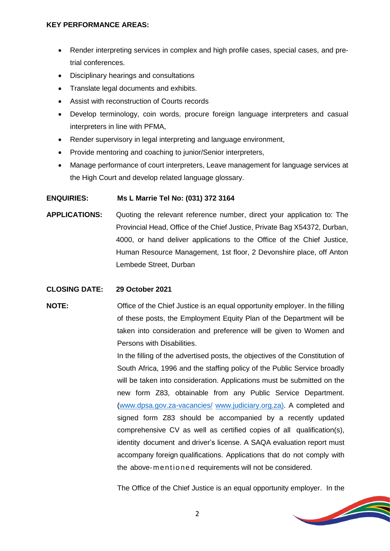#### **KEY PERFORMANCE AREAS:**

- Render interpreting services in complex and high profile cases, special cases, and pretrial conferences.
- Disciplinary hearings and consultations
- Translate legal documents and exhibits.
- Assist with reconstruction of Courts records
- Develop terminology, coin words, procure foreign language interpreters and casual interpreters in line with PFMA,
- Render supervisory in legal interpreting and language environment,
- Provide mentoring and coaching to junior/Senior interpreters,
- Manage performance of court interpreters, Leave management for language services at the High Court and develop related language glossary.

#### **ENQUIRIES: Ms L Marrie Tel No: (031) 372 3164**

**APPLICATIONS:** Quoting the relevant reference number, direct your application to: The Provincial Head, Office of the Chief Justice, Private Bag X54372, Durban, 4000, or hand deliver applications to the Office of the Chief Justice, Human Resource Management, 1st floor, 2 Devonshire place, off Anton Lembede Street, Durban

#### **CLOSING DATE: 29 October 2021**

## **NOTE:** Office of the Chief Justice is an equal opportunity employer. In the filling of these posts, the Employment Equity Plan of the Department will be taken into consideration and preference will be given to Women and Persons with Disabilities.

In the filling of the advertised posts, the objectives of the Constitution of South Africa, 1996 and the staffing policy of the Public Service broadly will be taken into consideration. Applications must be submitted on the new form Z83, obtainable from any Public Service Department. [\(www.dpsa.gov.za-vacancies/](http://www.dpsa.gov.za-vacancies/) [www.judiciary.org.za\)](http://www.judiciary.org.za/). A completed and signed form Z83 should be accompanied by a recently updated comprehensive CV as well as certified copies of all qualification(s), identity document and driver's license. A SAQA evaluation report must accompany foreign qualifications. Applications that do not comply with the above-mentioned requirements will not be considered.

The Office of the Chief Justice is an equal opportunity employer. In the

**Contract Contract Contract Contract Contract Contract Contract Contract Contract Contract Contract Contract Contract Contract Contract Contract Contract Contract Contract Contract Contract Contract Contract Contract Contr**